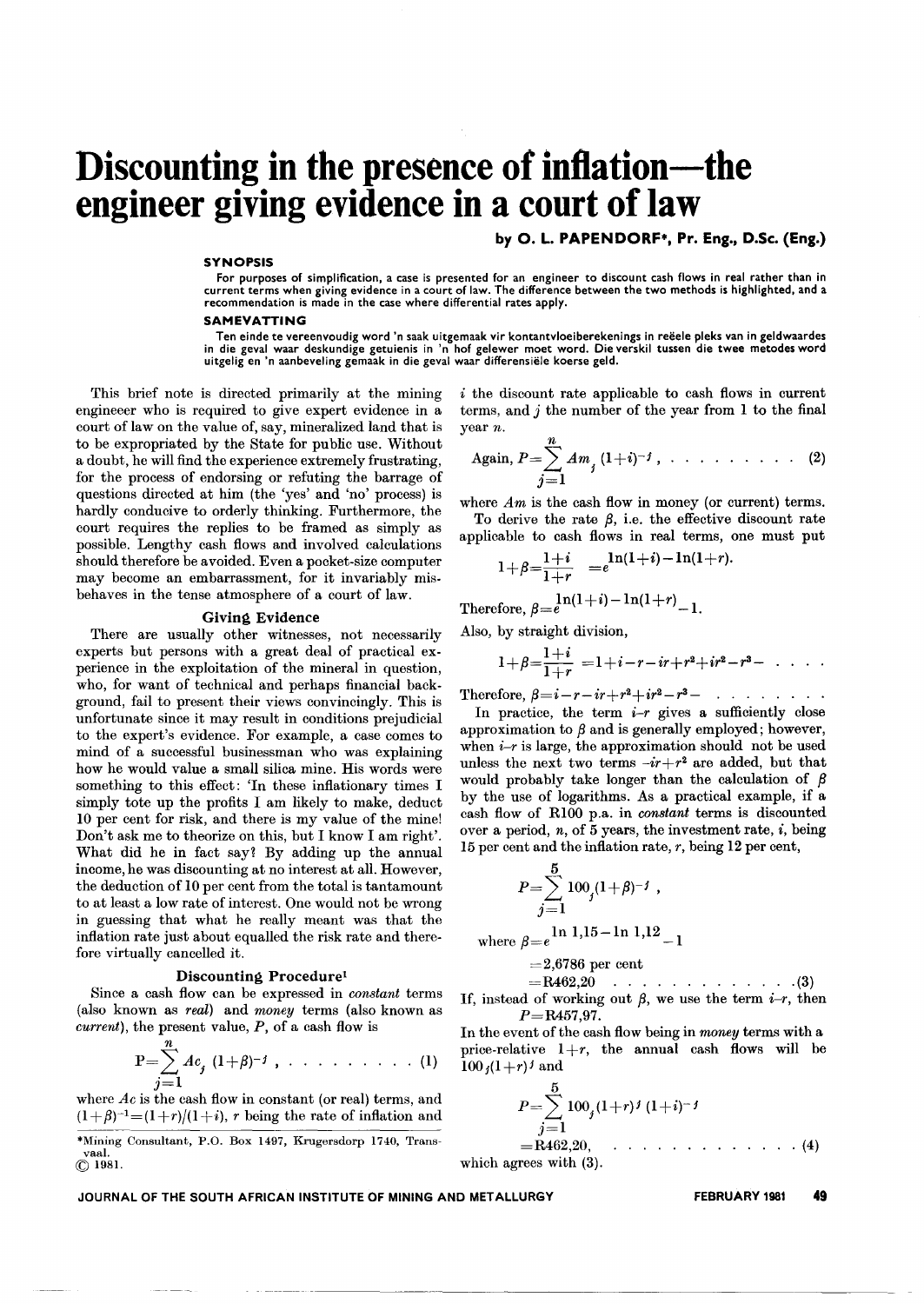# **Discounting in the presence of inflation-the engineer giving evidence in a court of law**

by O. L. PAPENDORF\*, Pr. Eng.. D.Se. (Eng.)

#### **SYNOPSIS**

For purposes of simplification, a case is presented for an engineer to discount cash flows in real rather than in current terms when giving evidence in a court of law. The difference between the two methods is highlighted, and a recommendation is made in the case where differential rates apply.

#### **SAMEVATTING**

Ten einde te vereenvoudig word 'n saak uitgemaak vir kontantvloeiberekenings in reeele pleks van in geldwaardes in die geval waar deskundige getuienis in 'n hof gelewer moet word. Die verskil tussen die twee metodes word uitgelig en 'n aanbeveling gemaak in die geval waar differensiele koerse geld.

This brief note is directed primarily at the mining engineeer who is required to give expert evidence in a court of law on the value of, say, mineralized land that is to be expropriated by the State for public use. Without a doubt, he will find the experience extremely frustrating, for the process of endorsing or refuting the barrage of questions directed at him (the 'yes' and 'no' process) is hardly conducive to orderly thinking. Furthermore, the court requires the replies to be framed as simply as possible. Lengthy cash flows and involved calculations should therefore be avoided. Even a pocket-size computer may become an embarrassment, for it invariably misbehaves in the tense atmosphere of a court of law.

#### Giving Evidence

There are usually other witnesses, not necessarily experts but persons with a great deal of practical experience in the exploitation of the mineral in question, who, for want of technical and perhaps financial background, fail to present their views convincingly. This is unfortunate since it may result in conditions prejudicial to the expert's evidence. For example, a case comes to mind of a successful businessman who was explaining how he would value a small silica mine. His words were something to this effect: 'In these inflationary times I simply tote up the profits I am likely to make, deduct 10 per cent for risk, and there is my value of the mine! Don't ask me to theorize on this, but I know I am right'. What did he in fact say? By adding up the annual income, he was discounting at no interest at all. However, the deduction of 10 per cent from the total is tantamount to at least a low rate of interest. One would not be wrong in guessing that what he really meant was that the inflation rate just about equalled the risk rate and therefore virtually cancelled it.

#### Discounting Procedure1

Since a cash flow can be expressed in *constant* terms (also known as *real)* and *money* terms (also known as *current),* the present value, *P,* of a cash flow is

$$
P = \sum_{j=1}^{n} Ac_j (1+\beta)^{-j}, \ldots \ldots \ldots \ldots (1)
$$

where *Ac* is the cash flow in constant (or real) terms, and  $(1+\beta)^{-1}=(1+r)/(1+i)$ , *r* being the rate of inflation and

\*Mining Consultant, P.O. Box 1497, Krugersdorp 1740, Transvaal. (Q 1981.

i the discount rate applicable to cash flows in current terms, and j the number of the year from 1 to the final year *n.*

Again, 
$$
P = \sum_{j=1}^{n} A m_j (1+i)^{-j}
$$
, ..., ..., (2)

where  $Am$  is the cash flow in money (or current) terms. To derive the rate  $\beta$ , i.e. the effective discount rate

appliedble to cash flows in real terms, one must put 
$$
1+i
$$
  $\ln(1+i)-\ln(1+r)$ .

$$
1+\beta=\frac{1+i}{1+r} = e^{\ln(1+i)-\ln(1+r)}
$$

 $\text{Therefore, } \beta = e^{\ln(1+i)-\ln(1+r)}-1.$ 

Also, by straight division,

$$
1+\beta=\frac{1+i}{1+r} = 1+i-r-ir+r^2+ir^2-r^3-\cdots
$$

Therefore,  $\beta = i - r - ir + r^2 + ir^2 - r^3 - ... ...$ 

In practice, the term  $i-r$  gives a sufficiently close approximation to  $\beta$  and is generally employed; however, when  $i-r$  is large, the approximation should not be used unless the next two terms  $-ir+r^2$  are added, but that would probably take longer than the calculation of  $\beta$ by the use of logarithms. As a practical example, if a cash flow of RI00 p.a. in *constant* terms is discounted over a period,  $n$ , of 5 years, the investment rate,  $i$ , being 15 per cent and the inflation rate, *r,* being 12 per cent,

$$
P = \sum_{j=1}^{5} 100_j (1+\beta)^{-j} ,
$$
  
where  $\beta = e^{\ln 1, 15 - \ln 1, 12} - 1$ 

$$
= 2{,}6786\,\,\mathrm{per\,\,cent}
$$

 $=$ R462,20 (3)

If, instead of working out  $\beta$ , we use the term *i-r*, then *P=R457,97,*

In the event of the cash flow being in *money* terms with a price-relative  $1+r$ , the annual cash flows will be  $100 \, j(1+r)^j$  and

$$
P = \sum_{j=1}^{5} 100_j (1+r)^j (1+i)^{-j}
$$
  
= R462.20, (4)

which agrees with  $(3)$ .